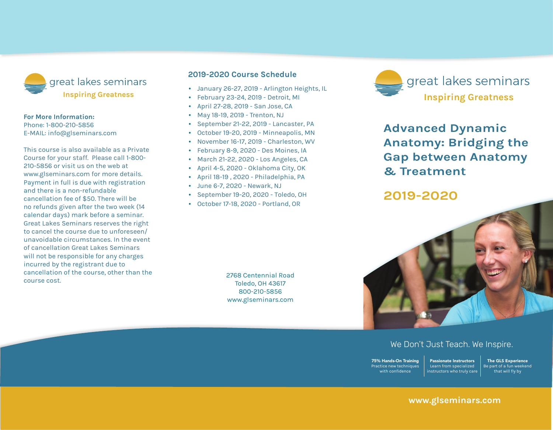

#### **For More Information:**

Phone: 1-800-210-5856 E-mail: info@glseminars.com

Payment in full is due with registration and there is a non-refundable cancellation fee of \$50. There will be no refunds given within two weeks (14 calendar days) of the seminar. Great Lakes Seminars reserves the right to cancel the course due to unforeseen/ unavoidable circumstances. In the event of a cancellation, Great Lakes Seminars will not be responsible for any charges incurred by the registrant other than the course cost.

This course is also available as a private course for your staff. Please call 1-800-210-5856 or visit us on the web at www.glseminars.com for more details.

#### **2021 Course Schedule**

- February 20-21, 2021 Ann Arbor, MI
- March 6-7, 2021 Baltimore, MD
- March 6-7, 2021 Grand Rapids, MI
- March 20-21, 2021 Newark, NJ
- May 15-16, 2021 Reno, NV
- June 26-27, 2021 Tulsa, OK
- August 21-22, 2021 Birmingham, AL
- September 18-19, 2021 Rockford, IL
- October 23-24, 2021 Frederick, MD

2768 Centennial Road Toledo, OH 43617 1-800-210-5856 www.glseminars.com



## **Advanced Dynamic Anatomy: Bridging the Gap between Anatomy & Treatment**

### **2021**



#### We Don't Just Teach. We Inspire.

75% Hands-On Training Practice new techniques with confidence Passionate Instructors Learn from specialized instructors who truly care

The GLS Experience Be part of a fun weekend that will fly by

#### **www.glseminars.com**